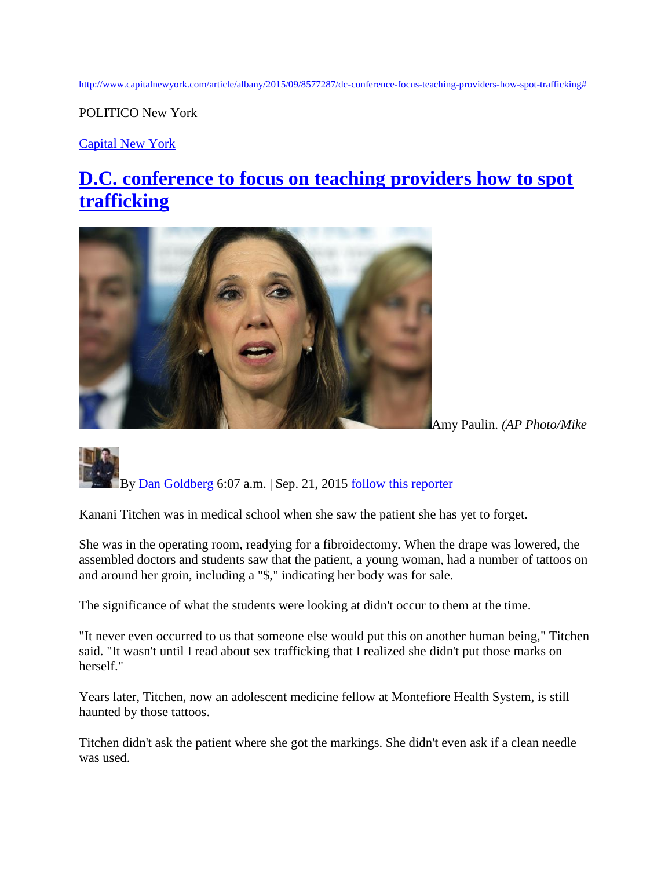[http://www.capitalnewyork.com/article/albany/2015/09/8577287/dc-conference-focus-teaching-providers-how-spot-trafficking#](http://www.capitalnewyork.com/article/albany/2015/09/8577287/dc-conference-focus-teaching-providers-how-spot-trafficking)

POLITICO New York

[Capital New York](http://www.capitalnewyork.com/)

## **[D.C. conference to focus on teaching providers how to spot](http://www.capitalnewyork.com/article/albany/2015/09/8577287/dc-conference-focus-teaching-providers-how-spot-trafficking)  [trafficking](http://www.capitalnewyork.com/article/albany/2015/09/8577287/dc-conference-focus-teaching-providers-how-spot-trafficking)**



Amy Paulin. *(AP Photo/Mike* 

## By [Dan Goldberg](http://www.capitalnewyork.com/users/dan-goldberg) 6:07 a.m. | Sep. 21, 2015 [follow this reporter](http://www.capitalnewyork.com/article/albany/2015/09/8577287/dc-conference-focus-teaching-providers-how-spot-trafficking)

Kanani Titchen was in medical school when she saw the patient she has yet to forget.

She was in the operating room, readying for a fibroidectomy. When the drape was lowered, the assembled doctors and students saw that the patient, a young woman, had a number of tattoos on and around her groin, including a "\$," indicating her body was for sale.

The significance of what the students were looking at didn't occur to them at the time.

"It never even occurred to us that someone else would put this on another human being," Titchen said. "It wasn't until I read about sex trafficking that I realized she didn't put those marks on herself."

Years later, Titchen, now an adolescent medicine fellow at Montefiore Health System, is still haunted by those tattoos.

Titchen didn't ask the patient where she got the markings. She didn't even ask if a clean needle was used.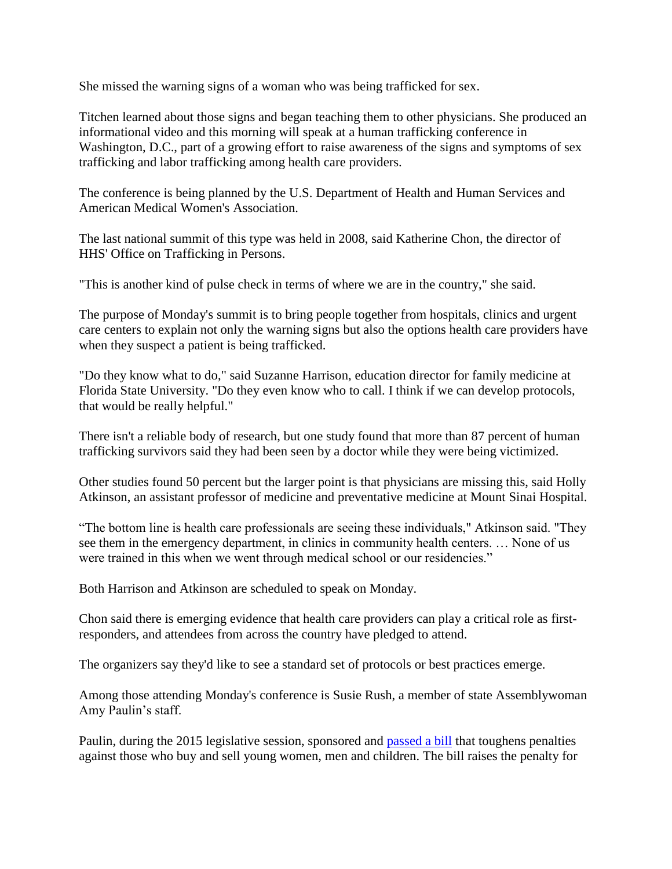She missed the warning signs of a woman who was being trafficked for sex.

Titchen learned about those signs and began teaching them to other physicians. She produced an informational video and this morning will speak at a human trafficking conference in Washington, D.C., part of a growing effort to raise awareness of the signs and symptoms of sex trafficking and labor trafficking among health care providers.

The conference is being planned by the U.S. Department of Health and Human Services and American Medical Women's Association.

The last national summit of this type was held in 2008, said Katherine Chon, the director of HHS' Office on Trafficking in Persons.

"This is another kind of pulse check in terms of where we are in the country," she said.

The purpose of Monday's summit is to bring people together from hospitals, clinics and urgent care centers to explain not only the warning signs but also the options health care providers have when they suspect a patient is being trafficked.

"Do they know what to do," said Suzanne Harrison, education director for family medicine at Florida State University. "Do they even know who to call. I think if we can develop protocols, that would be really helpful."

There isn't a reliable body of research, but one study found that more than 87 percent of human trafficking survivors said they had been seen by a doctor while they were being victimized.

Other studies found 50 percent but the larger point is that physicians are missing this, said Holly Atkinson, an assistant professor of medicine and preventative medicine at Mount Sinai Hospital.

"The bottom line is health care professionals are seeing these individuals," Atkinson said. "They see them in the emergency department, in clinics in community health centers. … None of us were trained in this when we went through medical school or our residencies."

Both Harrison and Atkinson are scheduled to speak on Monday.

Chon said there is emerging evidence that health care providers can play a critical role as firstresponders, and attendees from across the country have pledged to attend.

The organizers say they'd like to see a standard set of protocols or best practices emerge.

Among those attending Monday's conference is Susie Rush, a member of state Assemblywoman Amy Paulin's staff.

Paulin, during the 2015 legislative session, sponsored and [passed a bill](http://www.nysenate.gov/press-release/lanza-paulin-announce-passage-historic-human-trafficking-bill-both-houses-legislature) that toughens penalties against those who buy and sell young women, men and children. The bill raises the penalty for